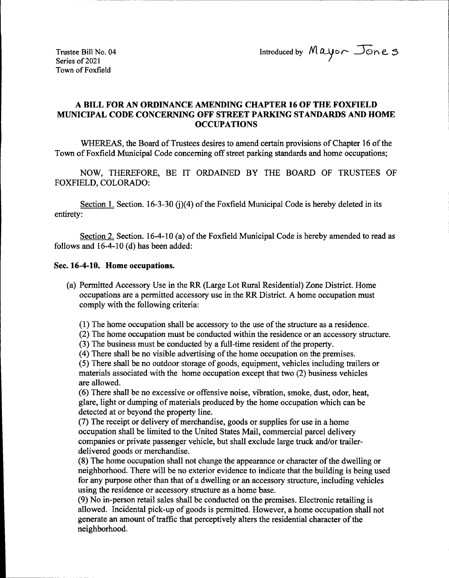Trustee Bill No. 04 Introduced by  $M$ ayo $\sim$  Jone 3

Series of 2021 Town of Foxfield

## A BILL FOR AN ORDINANCE AMENDING CHAPTER 16 OF THE FOXFIELD MUNICIPAL CODE CONCERNING OFF STREET PARKING STANDARDS AND HOME **OCCUPATIONS**

WHEREAS, the Board of Trustees desires to amend certain provisions of Chapter 16 of the Town of Foxfield Municipal Code concerning off street parking standards and home occupations;

NOW, THEREFORE, BE IT ORDAINED BY THE BOARD OF TRUSTEES OF FOXFIELD, COLORADO:

Section 1. Section. 16-3-30 (i)(4) of the Foxfield Municipal Code is hereby deleted in its entirety:

Section 2. Section. 16-4-10 (a) of the Foxfield Municipal Code is hereby amended to read as follows and  $16-4-10$  (d) has been added:

## Sec. 16-4-10. Home occupations.

a) Permitted Accessory Use in the RR( Large Lot Rural Residential) Zone District. Home occupations are a permitted accessory use in the RR District. A home occupation must comply with the following criteria:

1) The home occupation shall be accessory to the use ofthe structure as a residence.

2) The home occupation must be conducted within the residence or an accessory structure.

3) The business must be conducted by a full-time resident of the property.

4) There shall be no visible advertising of the home occupation on the premises.

5) There shall be no outdoor storage of goods, equipment, vehicles including trailers or materials associated with the home occupation except that two( 2) business vehicles are allowed.

6) There shall be no excessive or offensive noise, vibration, smoke, dust, odor, heat, glare, light or dumping of materials produced by the home occupation which can be detected at or beyond the property line.

7) The receipt or delivery of merchandise, goods or supplies for use in a home occupation shall be limited to the United States Mail, commercial parcel delivery companies or private passenger vehicle, but shall exclude large truck and/or trailerdelivered goods or merchandise.

8) The home occupation shall not change the appearance or character of the dwelling or neighborhood. There will be no exterior evidence to indicate that the building is being used for any purpose other than that of a dwelling or an accessory structure, including vehicles using the residence or accessory structure as a home base.

9) No in-person retail sales shall be conducted on the premises. Electronic retailing is allowed. Incidental pick-up of goods is permitted. However, a home occupation shall not generate an amount of traffic that perceptively alters the residential character of the neighborhood.